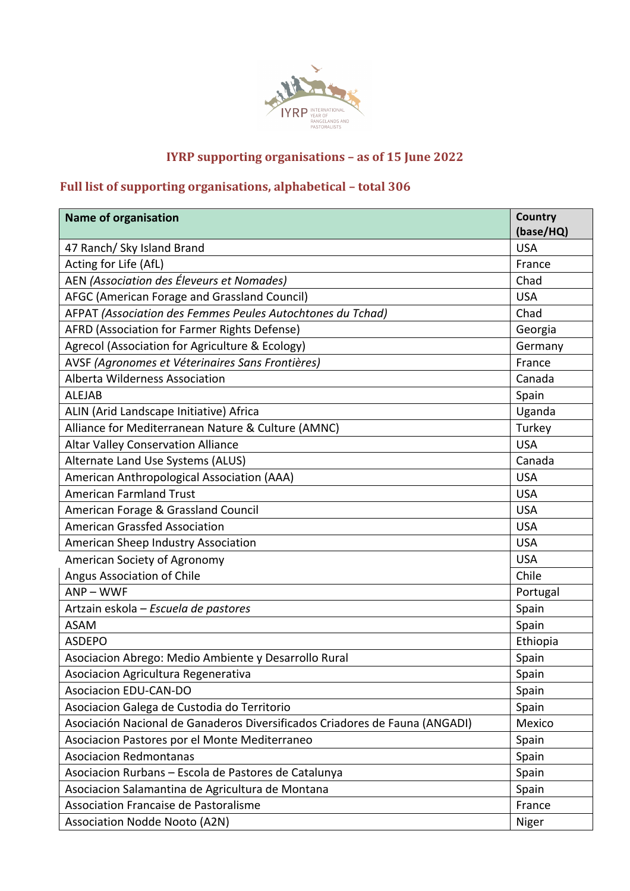

## **IYRP** supporting organisations - as of 15 June 2022

## Full list of supporting organisations, alphabetical - total 306

| <b>Name of organisation</b>                                                 | Country<br>(base/HQ) |
|-----------------------------------------------------------------------------|----------------------|
| 47 Ranch/ Sky Island Brand                                                  | <b>USA</b>           |
| Acting for Life (AfL)                                                       | France               |
| AEN (Association des Éleveurs et Nomades)                                   | Chad                 |
| AFGC (American Forage and Grassland Council)                                | <b>USA</b>           |
| AFPAT (Association des Femmes Peules Autochtones du Tchad)                  | Chad                 |
| AFRD (Association for Farmer Rights Defense)                                | Georgia              |
| Agrecol (Association for Agriculture & Ecology)                             | Germany              |
| AVSF (Agronomes et Véterinaires Sans Frontières)                            | France               |
| Alberta Wilderness Association                                              | Canada               |
| <b>ALEJAB</b>                                                               | Spain                |
| ALIN (Arid Landscape Initiative) Africa                                     | Uganda               |
| Alliance for Mediterranean Nature & Culture (AMNC)                          | Turkey               |
| <b>Altar Valley Conservation Alliance</b>                                   | <b>USA</b>           |
| Alternate Land Use Systems (ALUS)                                           | Canada               |
| American Anthropological Association (AAA)                                  | <b>USA</b>           |
| <b>American Farmland Trust</b>                                              | <b>USA</b>           |
| American Forage & Grassland Council                                         | <b>USA</b>           |
| <b>American Grassfed Association</b>                                        | <b>USA</b>           |
| American Sheep Industry Association                                         | <b>USA</b>           |
| American Society of Agronomy                                                | <b>USA</b>           |
| Angus Association of Chile                                                  | Chile                |
| $ANP - WWF$                                                                 | Portugal             |
| Artzain eskola – Escuela de pastores                                        | Spain                |
| <b>ASAM</b>                                                                 | Spain                |
| <b>ASDEPO</b>                                                               | Ethiopia             |
| Asociacion Abrego: Medio Ambiente y Desarrollo Rural                        | Spain                |
| Asociacion Agricultura Regenerativa                                         | Spain                |
| <b>Asociacion EDU-CAN-DO</b>                                                | Spain                |
| Asociacion Galega de Custodia do Territorio                                 | Spain                |
| Asociación Nacional de Ganaderos Diversificados Criadores de Fauna (ANGADI) | Mexico               |
| Asociacion Pastores por el Monte Mediterraneo                               | Spain                |
| <b>Asociacion Redmontanas</b>                                               | Spain                |
| Asociacion Rurbans - Escola de Pastores de Catalunya                        | Spain                |
| Asociacion Salamantina de Agricultura de Montana                            | Spain                |
| Association Francaise de Pastoralisme                                       | France               |
| <b>Association Nodde Nooto (A2N)</b>                                        | Niger                |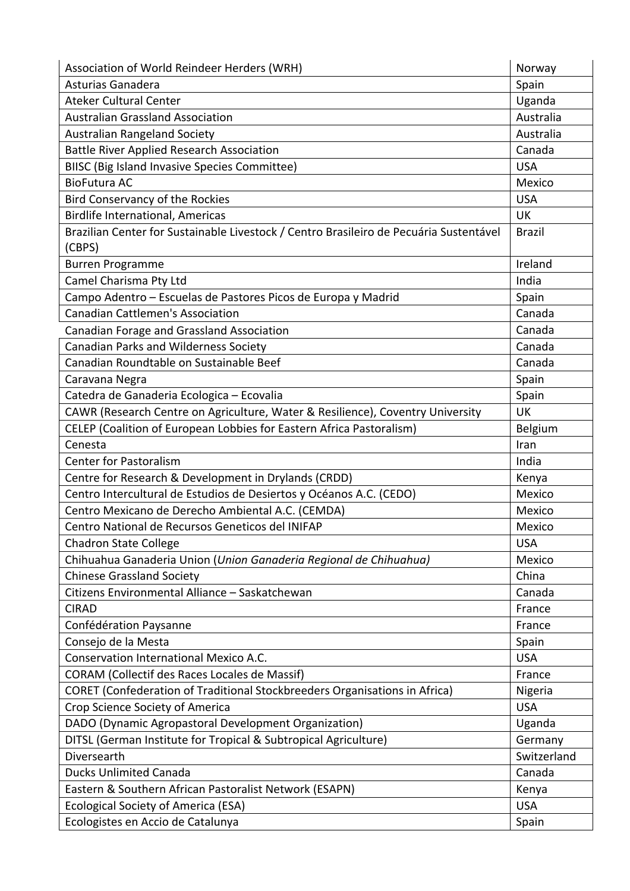| Association of World Reindeer Herders (WRH)                                                      | Norway        |
|--------------------------------------------------------------------------------------------------|---------------|
| Asturias Ganadera                                                                                | Spain         |
| <b>Ateker Cultural Center</b>                                                                    | Uganda        |
| <b>Australian Grassland Association</b>                                                          | Australia     |
| <b>Australian Rangeland Society</b>                                                              | Australia     |
| <b>Battle River Applied Research Association</b>                                                 | Canada        |
| <b>BIISC (Big Island Invasive Species Committee)</b>                                             | <b>USA</b>    |
| <b>BioFutura AC</b>                                                                              | Mexico        |
| <b>Bird Conservancy of the Rockies</b>                                                           | <b>USA</b>    |
| <b>Birdlife International, Americas</b>                                                          | <b>UK</b>     |
| Brazilian Center for Sustainable Livestock / Centro Brasileiro de Pecuária Sustentável<br>(CBPS) | <b>Brazil</b> |
| <b>Burren Programme</b>                                                                          | Ireland       |
| Camel Charisma Pty Ltd                                                                           | India         |
| Campo Adentro - Escuelas de Pastores Picos de Europa y Madrid                                    | Spain         |
| <b>Canadian Cattlemen's Association</b>                                                          | Canada        |
| Canadian Forage and Grassland Association                                                        | Canada        |
| Canadian Parks and Wilderness Society                                                            | Canada        |
| Canadian Roundtable on Sustainable Beef                                                          | Canada        |
| Caravana Negra                                                                                   | Spain         |
| Catedra de Ganaderia Ecologica - Ecovalia                                                        | Spain         |
| CAWR (Research Centre on Agriculture, Water & Resilience), Coventry University                   | <b>UK</b>     |
| CELEP (Coalition of European Lobbies for Eastern Africa Pastoralism)                             | Belgium       |
| Cenesta                                                                                          | Iran          |
| <b>Center for Pastoralism</b>                                                                    | India         |
| Centre for Research & Development in Drylands (CRDD)                                             | Kenya         |
| Centro Intercultural de Estudios de Desiertos y Océanos A.C. (CEDO)                              | Mexico        |
| Centro Mexicano de Derecho Ambiental A.C. (CEMDA)                                                | Mexico        |
| Centro National de Recursos Geneticos del INIFAP                                                 | Mexico        |
| <b>Chadron State College</b>                                                                     | <b>USA</b>    |
| Chihuahua Ganaderia Union (Union Ganaderia Regional de Chihuahua)                                | Mexico        |
| <b>Chinese Grassland Society</b>                                                                 | China         |
| Citizens Environmental Alliance - Saskatchewan                                                   | Canada        |
| <b>CIRAD</b>                                                                                     | France        |
| Confédération Paysanne                                                                           | France        |
| Consejo de la Mesta                                                                              | Spain         |
| Conservation International Mexico A.C.                                                           | <b>USA</b>    |
| CORAM (Collectif des Races Locales de Massif)                                                    | France        |
| CORET (Confederation of Traditional Stockbreeders Organisations in Africa)                       | Nigeria       |
| Crop Science Society of America                                                                  | <b>USA</b>    |
| DADO (Dynamic Agropastoral Development Organization)                                             | Uganda        |
| DITSL (German Institute for Tropical & Subtropical Agriculture)                                  | Germany       |
| Diversearth                                                                                      | Switzerland   |
| <b>Ducks Unlimited Canada</b>                                                                    | Canada        |
| Eastern & Southern African Pastoralist Network (ESAPN)                                           | Kenya         |
| <b>Ecological Society of America (ESA)</b>                                                       | <b>USA</b>    |
| Ecologistes en Accio de Catalunya                                                                | Spain         |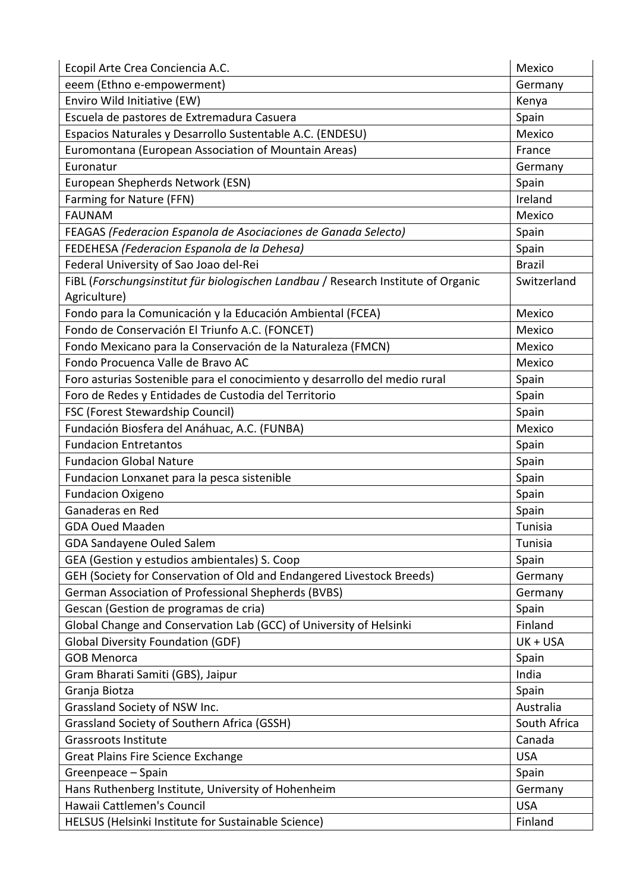| Ecopil Arte Crea Conciencia A.C.                                                  | Mexico        |
|-----------------------------------------------------------------------------------|---------------|
| eeem (Ethno e-empowerment)                                                        | Germany       |
| Enviro Wild Initiative (EW)                                                       | Kenya         |
| Escuela de pastores de Extremadura Casuera                                        | Spain         |
| Espacios Naturales y Desarrollo Sustentable A.C. (ENDESU)                         | Mexico        |
| Euromontana (European Association of Mountain Areas)                              | France        |
| Euronatur                                                                         | Germany       |
| European Shepherds Network (ESN)                                                  | Spain         |
| Farming for Nature (FFN)                                                          | Ireland       |
| <b>FAUNAM</b>                                                                     | Mexico        |
| FEAGAS (Federacion Espanola de Asociaciones de Ganada Selecto)                    | Spain         |
| FEDEHESA (Federacion Espanola de la Dehesa)                                       | Spain         |
| Federal University of Sao Joao del-Rei                                            | <b>Brazil</b> |
| FiBL (Forschungsinstitut für biologischen Landbau / Research Institute of Organic | Switzerland   |
| Agriculture)                                                                      |               |
| Fondo para la Comunicación y la Educación Ambiental (FCEA)                        | Mexico        |
| Fondo de Conservación El Triunfo A.C. (FONCET)                                    | Mexico        |
| Fondo Mexicano para la Conservación de la Naturaleza (FMCN)                       | Mexico        |
| Fondo Procuenca Valle de Bravo AC                                                 | Mexico        |
| Foro asturias Sostenible para el conocimiento y desarrollo del medio rural        | Spain         |
| Foro de Redes y Entidades de Custodia del Territorio                              | Spain         |
| FSC (Forest Stewardship Council)                                                  | Spain         |
| Fundación Biosfera del Anáhuac, A.C. (FUNBA)                                      | Mexico        |
| <b>Fundacion Entretantos</b>                                                      | Spain         |
| <b>Fundacion Global Nature</b>                                                    | Spain         |
| Fundacion Lonxanet para la pesca sistenible                                       | Spain         |
| <b>Fundacion Oxigeno</b>                                                          | Spain         |
| Ganaderas en Red                                                                  | Spain         |
| <b>GDA Oued Maaden</b>                                                            | Tunisia       |
| GDA Sandayene Ouled Salem                                                         | Tunisia       |
| GEA (Gestion y estudios ambientales) S. Coop                                      | Spain         |
| GEH (Society for Conservation of Old and Endangered Livestock Breeds)             | Germany       |
| <b>German Association of Professional Shepherds (BVBS)</b>                        | Germany       |
| Gescan (Gestion de programas de cria)                                             | Spain         |
| Global Change and Conservation Lab (GCC) of University of Helsinki                | Finland       |
| <b>Global Diversity Foundation (GDF)</b>                                          | UK + USA      |
| <b>GOB Menorca</b>                                                                | Spain         |
| Gram Bharati Samiti (GBS), Jaipur                                                 | India         |
| Granja Biotza                                                                     | Spain         |
| Grassland Society of NSW Inc.                                                     | Australia     |
| Grassland Society of Southern Africa (GSSH)                                       | South Africa  |
| <b>Grassroots Institute</b>                                                       | Canada        |
| <b>Great Plains Fire Science Exchange</b>                                         | <b>USA</b>    |
| Greenpeace - Spain                                                                | Spain         |
| Hans Ruthenberg Institute, University of Hohenheim                                | Germany       |
| Hawaii Cattlemen's Council                                                        | <b>USA</b>    |
| HELSUS (Helsinki Institute for Sustainable Science)                               | Finland       |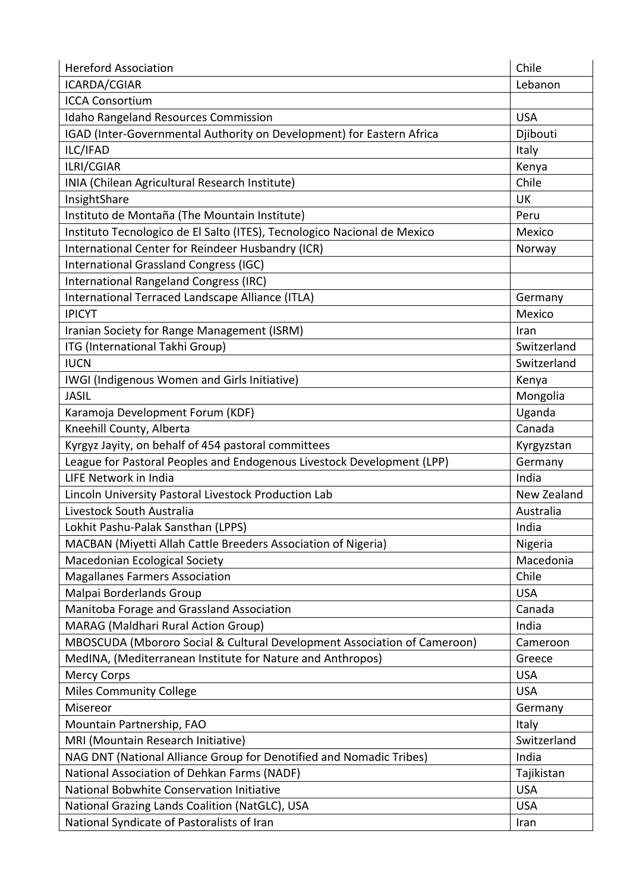| <b>Hereford Association</b>                                              | Chile       |
|--------------------------------------------------------------------------|-------------|
| ICARDA/CGIAR                                                             | Lebanon     |
| <b>ICCA Consortium</b>                                                   |             |
| <b>Idaho Rangeland Resources Commission</b>                              | <b>USA</b>  |
| IGAD (Inter-Governmental Authority on Development) for Eastern Africa    | Djibouti    |
| ILC/IFAD                                                                 | Italy       |
| ILRI/CGIAR                                                               | Kenya       |
| INIA (Chilean Agricultural Research Institute)                           | Chile       |
| InsightShare                                                             | <b>UK</b>   |
| Instituto de Montaña (The Mountain Institute)                            | Peru        |
| Instituto Tecnologico de El Salto (ITES), Tecnologico Nacional de Mexico | Mexico      |
| International Center for Reindeer Husbandry (ICR)                        | Norway      |
| International Grassland Congress (IGC)                                   |             |
| International Rangeland Congress (IRC)                                   |             |
| International Terraced Landscape Alliance (ITLA)                         | Germany     |
| <b>IPICYT</b>                                                            | Mexico      |
| Iranian Society for Range Management (ISRM)                              | Iran        |
| ITG (International Takhi Group)                                          | Switzerland |
| <b>IUCN</b>                                                              | Switzerland |
| IWGI (Indigenous Women and Girls Initiative)                             | Kenya       |
| <b>JASIL</b>                                                             | Mongolia    |
| Karamoja Development Forum (KDF)                                         | Uganda      |
| Kneehill County, Alberta                                                 | Canada      |
| Kyrgyz Jayity, on behalf of 454 pastoral committees                      | Kyrgyzstan  |
| League for Pastoral Peoples and Endogenous Livestock Development (LPP)   | Germany     |
| LIFE Network in India                                                    | India       |
| Lincoln University Pastoral Livestock Production Lab                     | New Zealand |
| Livestock South Australia                                                | Australia   |
| Lokhit Pashu-Palak Sansthan (LPPS)                                       | India       |
| MACBAN (Miyetti Allah Cattle Breeders Association of Nigeria)            | Nigeria     |
| Macedonian Ecological Society                                            | Macedonia   |
| <b>Magallanes Farmers Association</b>                                    | Chile       |
| Malpai Borderlands Group                                                 | <b>USA</b>  |
| Manitoba Forage and Grassland Association                                | Canada      |
| MARAG (Maldhari Rural Action Group)                                      | India       |
| MBOSCUDA (Mbororo Social & Cultural Development Association of Cameroon) | Cameroon    |
| MedINA, (Mediterranean Institute for Nature and Anthropos)               | Greece      |
| <b>Mercy Corps</b>                                                       | <b>USA</b>  |
| <b>Miles Community College</b>                                           | <b>USA</b>  |
| Misereor                                                                 | Germany     |
| Mountain Partnership, FAO                                                | Italy       |
| MRI (Mountain Research Initiative)                                       | Switzerland |
| NAG DNT (National Alliance Group for Denotified and Nomadic Tribes)      | India       |
| National Association of Dehkan Farms (NADF)                              | Tajikistan  |
| National Bobwhite Conservation Initiative                                | <b>USA</b>  |
| National Grazing Lands Coalition (NatGLC), USA                           | <b>USA</b>  |
| National Syndicate of Pastoralists of Iran                               | Iran        |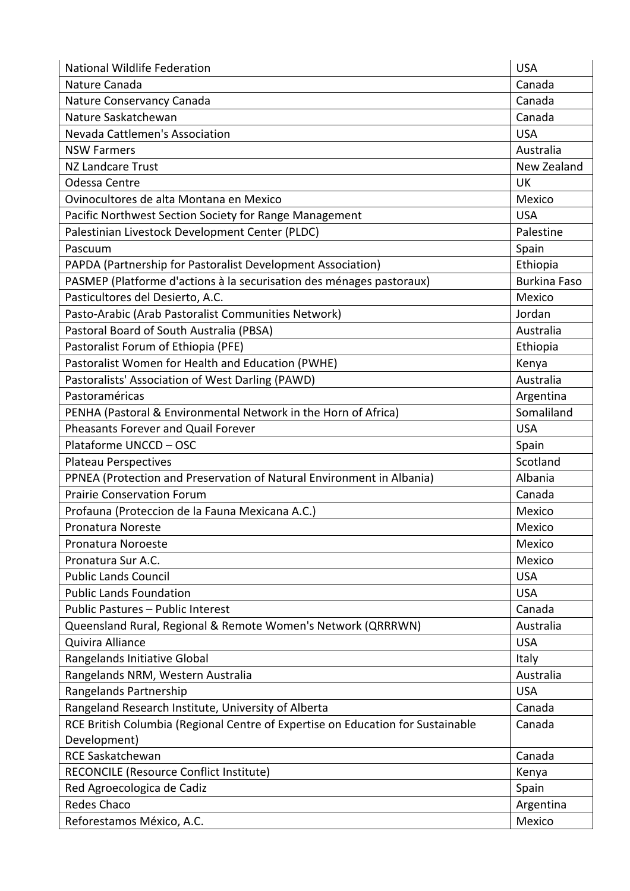| National Wildlife Federation                                                    | <b>USA</b>          |
|---------------------------------------------------------------------------------|---------------------|
| Nature Canada                                                                   | Canada              |
| Nature Conservancy Canada                                                       | Canada              |
| Nature Saskatchewan                                                             | Canada              |
| Nevada Cattlemen's Association                                                  | <b>USA</b>          |
| <b>NSW Farmers</b>                                                              | Australia           |
| NZ Landcare Trust                                                               | New Zealand         |
| Odessa Centre                                                                   | <b>UK</b>           |
| Ovinocultores de alta Montana en Mexico                                         | Mexico              |
| Pacific Northwest Section Society for Range Management                          | <b>USA</b>          |
| Palestinian Livestock Development Center (PLDC)                                 | Palestine           |
| Pascuum                                                                         | Spain               |
| PAPDA (Partnership for Pastoralist Development Association)                     | Ethiopia            |
| PASMEP (Platforme d'actions à la securisation des ménages pastoraux)            | <b>Burkina Faso</b> |
| Pasticultores del Desierto, A.C.                                                | Mexico              |
| Pasto-Arabic (Arab Pastoralist Communities Network)                             | Jordan              |
| Pastoral Board of South Australia (PBSA)                                        | Australia           |
| Pastoralist Forum of Ethiopia (PFE)                                             | Ethiopia            |
| Pastoralist Women for Health and Education (PWHE)                               | Kenya               |
| Pastoralists' Association of West Darling (PAWD)                                | Australia           |
| Pastoraméricas                                                                  | Argentina           |
| PENHA (Pastoral & Environmental Network in the Horn of Africa)                  | Somaliland          |
| Pheasants Forever and Quail Forever                                             | <b>USA</b>          |
| Plataforme UNCCD - OSC                                                          | Spain               |
| Plateau Perspectives                                                            | Scotland            |
| PPNEA (Protection and Preservation of Natural Environment in Albania)           | Albania             |
| <b>Prairie Conservation Forum</b>                                               | Canada              |
| Profauna (Proteccion de la Fauna Mexicana A.C.)                                 | Mexico              |
| <b>Pronatura Noreste</b>                                                        | Mexico              |
| Pronatura Noroeste                                                              | Mexico              |
| Pronatura Sur A.C.                                                              | Mexico              |
| <b>Public Lands Council</b>                                                     | <b>USA</b>          |
| <b>Public Lands Foundation</b>                                                  | <b>USA</b>          |
| Public Pastures - Public Interest                                               | Canada              |
| Queensland Rural, Regional & Remote Women's Network (QRRRWN)                    | Australia           |
| Quivira Alliance                                                                | <b>USA</b>          |
| Rangelands Initiative Global                                                    | Italy               |
| Rangelands NRM, Western Australia                                               | Australia           |
| Rangelands Partnership                                                          | <b>USA</b>          |
| Rangeland Research Institute, University of Alberta                             | Canada              |
| RCE British Columbia (Regional Centre of Expertise on Education for Sustainable | Canada              |
| Development)                                                                    |                     |
| <b>RCE Saskatchewan</b>                                                         | Canada              |
| RECONCILE (Resource Conflict Institute)                                         | Kenya               |
| Red Agroecologica de Cadiz                                                      | Spain               |
| <b>Redes Chaco</b>                                                              | Argentina           |
| Reforestamos México, A.C.                                                       | Mexico              |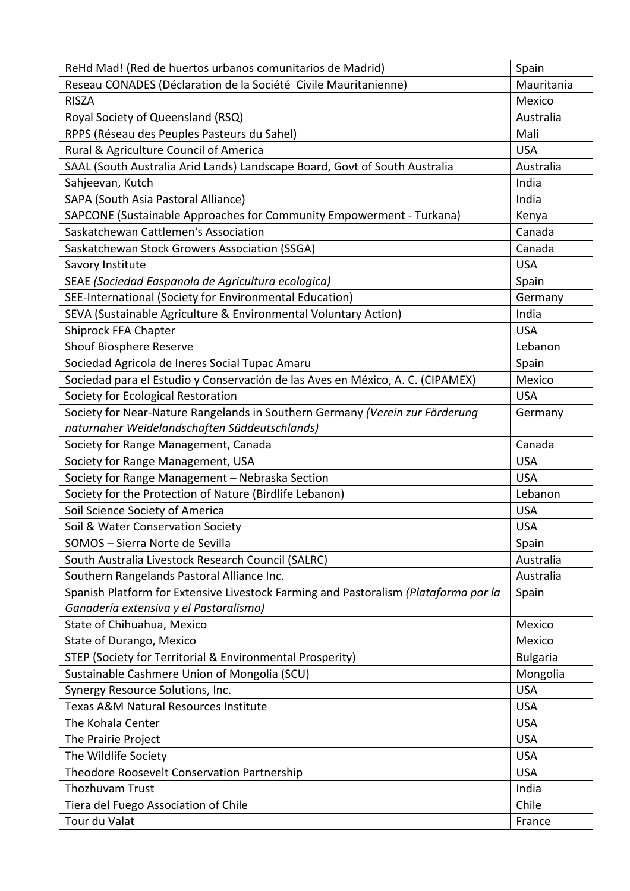| ReHd Mad! (Red de huertos urbanos comunitarios de Madrid)                           | Spain           |
|-------------------------------------------------------------------------------------|-----------------|
| Reseau CONADES (Déclaration de la Société Civile Mauritanienne)                     | Mauritania      |
| <b>RISZA</b>                                                                        | Mexico          |
| Royal Society of Queensland (RSQ)                                                   | Australia       |
| RPPS (Réseau des Peuples Pasteurs du Sahel)                                         | Mali            |
| Rural & Agriculture Council of America                                              | <b>USA</b>      |
| SAAL (South Australia Arid Lands) Landscape Board, Govt of South Australia          | Australia       |
| Sahjeevan, Kutch                                                                    | India           |
| SAPA (South Asia Pastoral Alliance)                                                 | India           |
| SAPCONE (Sustainable Approaches for Community Empowerment - Turkana)                | Kenya           |
| Saskatchewan Cattlemen's Association                                                | Canada          |
| Saskatchewan Stock Growers Association (SSGA)                                       | Canada          |
| Savory Institute                                                                    | <b>USA</b>      |
| SEAE (Sociedad Easpanola de Agricultura ecologica)                                  | Spain           |
| SEE-International (Society for Environmental Education)                             | Germany         |
| SEVA (Sustainable Agriculture & Environmental Voluntary Action)                     | India           |
| Shiprock FFA Chapter                                                                | <b>USA</b>      |
| Shouf Biosphere Reserve                                                             | Lebanon         |
| Sociedad Agricola de Ineres Social Tupac Amaru                                      | Spain           |
| Sociedad para el Estudio y Conservación de las Aves en México, A. C. (CIPAMEX)      | Mexico          |
| Society for Ecological Restoration                                                  | <b>USA</b>      |
| Society for Near-Nature Rangelands in Southern Germany (Verein zur Förderung        | Germany         |
| naturnaher Weidelandschaften Süddeutschlands)                                       |                 |
| Society for Range Management, Canada                                                | Canada          |
| Society for Range Management, USA                                                   | <b>USA</b>      |
| Society for Range Management - Nebraska Section                                     | <b>USA</b>      |
| Society for the Protection of Nature (Birdlife Lebanon)                             | Lebanon         |
| Soil Science Society of America                                                     | <b>USA</b>      |
| Soil & Water Conservation Society                                                   | <b>USA</b>      |
| SOMOS - Sierra Norte de Sevilla                                                     | Spain           |
| South Australia Livestock Research Council (SALRC)                                  | Australia       |
| Southern Rangelands Pastoral Alliance Inc.                                          | Australia       |
| Spanish Platform for Extensive Livestock Farming and Pastoralism (Plataforma por la | Spain           |
| Ganadería extensiva y el Pastoralismo)                                              |                 |
| State of Chihuahua, Mexico                                                          | Mexico          |
| State of Durango, Mexico                                                            | Mexico          |
| STEP (Society for Territorial & Environmental Prosperity)                           | <b>Bulgaria</b> |
| Sustainable Cashmere Union of Mongolia (SCU)                                        | Mongolia        |
| Synergy Resource Solutions, Inc.                                                    | <b>USA</b>      |
| Texas A&M Natural Resources Institute                                               | <b>USA</b>      |
| The Kohala Center                                                                   | <b>USA</b>      |
| The Prairie Project                                                                 | <b>USA</b>      |
| The Wildlife Society                                                                | <b>USA</b>      |
| Theodore Roosevelt Conservation Partnership                                         | <b>USA</b>      |
| Thozhuvam Trust                                                                     | India           |
| Tiera del Fuego Association of Chile                                                | Chile           |
| Tour du Valat                                                                       | France          |